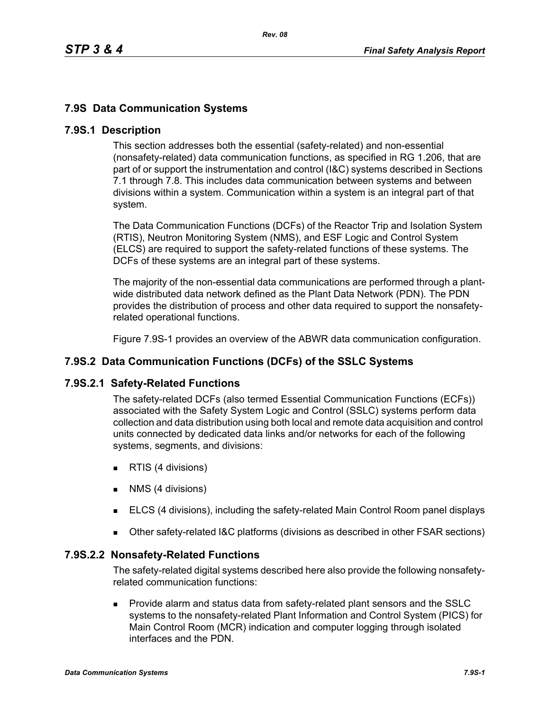# **7.9S Data Communication Systems**

### **7.9S.1 Description**

This section addresses both the essential (safety-related) and non-essential (nonsafety-related) data communication functions, as specified in RG 1.206, that are part of or support the instrumentation and control (I&C) systems described in Sections 7.1 through 7.8. This includes data communication between systems and between divisions within a system. Communication within a system is an integral part of that system.

The Data Communication Functions (DCFs) of the Reactor Trip and Isolation System (RTIS), Neutron Monitoring System (NMS), and ESF Logic and Control System (ELCS) are required to support the safety-related functions of these systems. The DCFs of these systems are an integral part of these systems.

The majority of the non-essential data communications are performed through a plantwide distributed data network defined as the Plant Data Network (PDN). The PDN provides the distribution of process and other data required to support the nonsafetyrelated operational functions.

Figure 7.9S-1 provides an overview of the ABWR data communication configuration.

# **7.9S.2 Data Communication Functions (DCFs) of the SSLC Systems**

### **7.9S.2.1 Safety-Related Functions**

The safety-related DCFs (also termed Essential Communication Functions (ECFs)) associated with the Safety System Logic and Control (SSLC) systems perform data collection and data distribution using both local and remote data acquisition and control units connected by dedicated data links and/or networks for each of the following systems, segments, and divisions:

- **RTIS (4 divisions)**
- **NMS** (4 divisions)
- ELCS (4 divisions), including the safety-related Main Control Room panel displays
- Other safety-related I&C platforms (divisions as described in other FSAR sections)

### **7.9S.2.2 Nonsafety-Related Functions**

The safety-related digital systems described here also provide the following nonsafetyrelated communication functions:

 Provide alarm and status data from safety-related plant sensors and the SSLC systems to the nonsafety-related Plant Information and Control System (PICS) for Main Control Room (MCR) indication and computer logging through isolated interfaces and the PDN.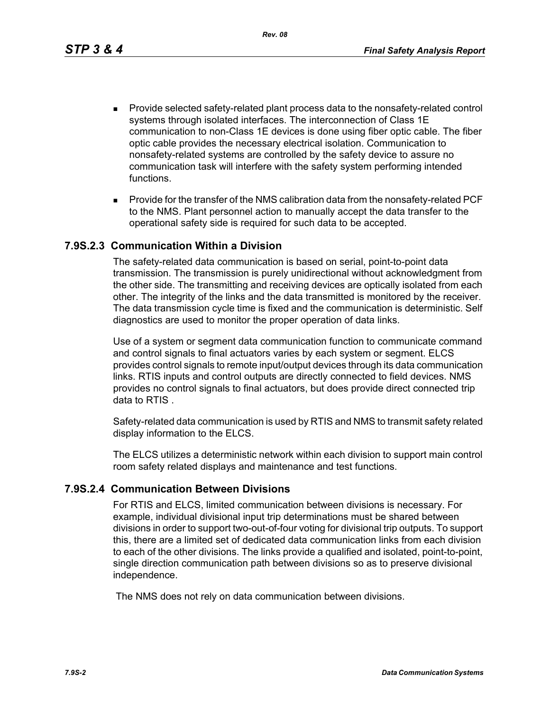*Rev. 08*

- **Provide selected safety-related plant process data to the nonsafety-related control** systems through isolated interfaces. The interconnection of Class 1E communication to non-Class 1E devices is done using fiber optic cable. The fiber optic cable provides the necessary electrical isolation. Communication to nonsafety-related systems are controlled by the safety device to assure no communication task will interfere with the safety system performing intended functions.
- **Provide for the transfer of the NMS calibration data from the nonsafety-related PCF** to the NMS. Plant personnel action to manually accept the data transfer to the operational safety side is required for such data to be accepted.

### **7.9S.2.3 Communication Within a Division**

The safety-related data communication is based on serial, point-to-point data transmission. The transmission is purely unidirectional without acknowledgment from the other side. The transmitting and receiving devices are optically isolated from each other. The integrity of the links and the data transmitted is monitored by the receiver. The data transmission cycle time is fixed and the communication is deterministic. Self diagnostics are used to monitor the proper operation of data links.

Use of a system or segment data communication function to communicate command and control signals to final actuators varies by each system or segment. ELCS provides control signals to remote input/output devices through its data communication links. RTIS inputs and control outputs are directly connected to field devices. NMS provides no control signals to final actuators, but does provide direct connected trip data to RTIS .

Safety-related data communication is used by RTIS and NMS to transmit safety related display information to the ELCS.

The ELCS utilizes a deterministic network within each division to support main control room safety related displays and maintenance and test functions.

### **7.9S.2.4 Communication Between Divisions**

For RTIS and ELCS, limited communication between divisions is necessary. For example, individual divisional input trip determinations must be shared between divisions in order to support two-out-of-four voting for divisional trip outputs. To support this, there are a limited set of dedicated data communication links from each division to each of the other divisions. The links provide a qualified and isolated, point-to-point, single direction communication path between divisions so as to preserve divisional independence.

The NMS does not rely on data communication between divisions.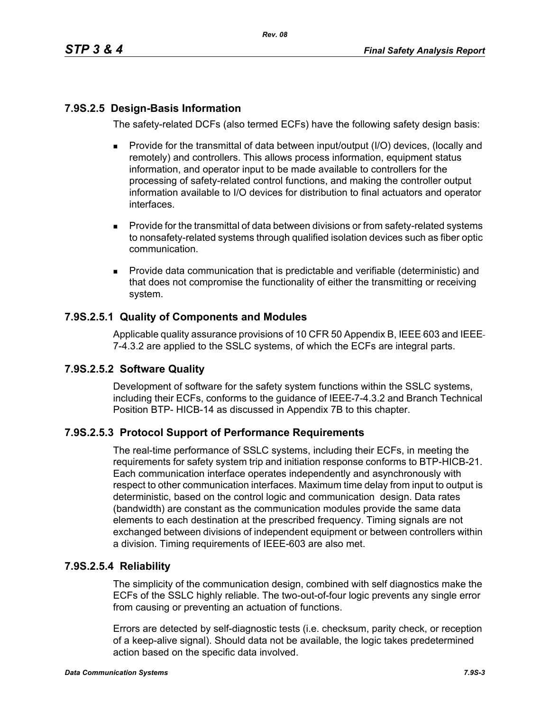# **7.9S.2.5 Design-Basis Information**

The safety-related DCFs (also termed ECFs) have the following safety design basis:

- **Provide for the transmittal of data between input/output (I/O) devices, (locally and** remotely) and controllers. This allows process information, equipment status information, and operator input to be made available to controllers for the processing of safety-related control functions, and making the controller output information available to I/O devices for distribution to final actuators and operator interfaces.
- **Provide for the transmittal of data between divisions or from safety-related systems** to nonsafety-related systems through qualified isolation devices such as fiber optic communication.
- Provide data communication that is predictable and verifiable (deterministic) and that does not compromise the functionality of either the transmitting or receiving system.

# **7.9S.2.5.1 Quality of Components and Modules**

Applicable quality assurance provisions of 10 CFR 50 Appendix B, IEEE-603 and IEEE-7-4.3.2 are applied to the SSLC systems, of which the ECFs are integral parts.

### **7.9S.2.5.2 Software Quality**

Development of software for the safety system functions within the SSLC systems, including their ECFs, conforms to the guidance of IEEE 7-4.3.2 and Branch Technical Position BTP- HICB-14 as discussed in Appendix 7B to this chapter.

# **7.9S.2.5.3 Protocol Support of Performance Requirements**

The real-time performance of SSLC systems, including their ECFs, in meeting the requirements for safety system trip and initiation response conforms to BTP-HICB-21. Each communication interface operates independently and asynchronously with respect to other communication interfaces. Maximum time delay from input to output is deterministic, based on the control logic and communication design. Data rates (bandwidth) are constant as the communication modules provide the same data elements to each destination at the prescribed frequency. Timing signals are not exchanged between divisions of independent equipment or between controllers within a division. Timing requirements of IEEE-603 are also met.

### **7.9S.2.5.4 Reliability**

The simplicity of the communication design, combined with self diagnostics make the ECFs of the SSLC highly reliable. The two-out-of-four logic prevents any single error from causing or preventing an actuation of functions.

Errors are detected by self-diagnostic tests (i.e. checksum, parity check, or reception of a keep-alive signal). Should data not be available, the logic takes predetermined action based on the specific data involved.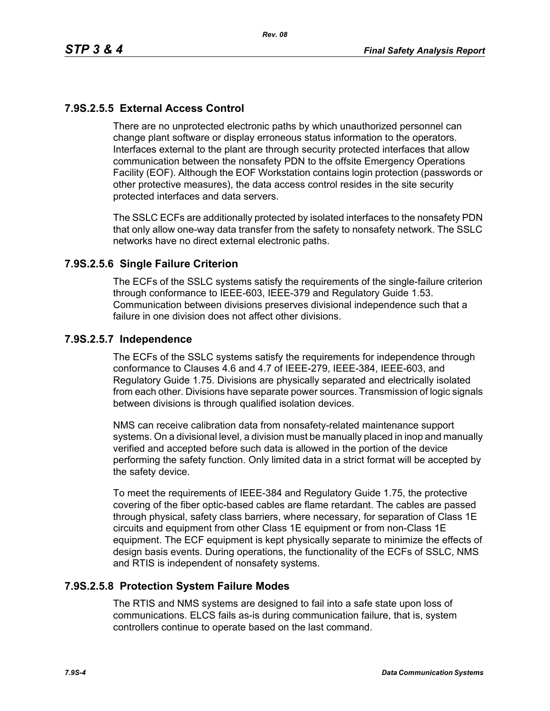# **7.9S.2.5.5 External Access Control**

There are no unprotected electronic paths by which unauthorized personnel can change plant software or display erroneous status information to the operators. Interfaces external to the plant are through security protected interfaces that allow communication between the nonsafety PDN to the offsite Emergency Operations Facility (EOF). Although the EOF Workstation contains login protection (passwords or other protective measures), the data access control resides in the site security protected interfaces and data servers.

The SSLC ECFs are additionally protected by isolated interfaces to the nonsafety PDN that only allow one-way data transfer from the safety to nonsafety network. The SSLC networks have no direct external electronic paths.

### **7.9S.2.5.6 Single Failure Criterion**

The ECFs of the SSLC systems satisfy the requirements of the single-failure criterion through conformance to IEEE-603, IEEE-379 and Regulatory Guide 1.53. Communication between divisions preserves divisional independence such that a failure in one division does not affect other divisions.

### **7.9S.2.5.7 Independence**

The ECFs of the SSLC systems satisfy the requirements for independence through conformance to Clauses 4.6 and 4.7 of IEEE-279, IEEE-384, IEEE-603, and Regulatory Guide 1.75. Divisions are physically separated and electrically isolated from each other. Divisions have separate power sources. Transmission of logic signals between divisions is through qualified isolation devices.

NMS can receive calibration data from nonsafety-related maintenance support systems. On a divisional level, a division must be manually placed in inop and manually verified and accepted before such data is allowed in the portion of the device performing the safety function. Only limited data in a strict format will be accepted by the safety device.

To meet the requirements of IEEE-384 and Regulatory Guide 1.75, the protective covering of the fiber optic-based cables are flame retardant. The cables are passed through physical, safety class barriers, where necessary, for separation of Class 1E circuits and equipment from other Class 1E equipment or from non-Class 1E equipment. The ECF equipment is kept physically separate to minimize the effects of design basis events. During operations, the functionality of the ECFs of SSLC, NMS and RTIS is independent of nonsafety systems.

### **7.9S.2.5.8 Protection System Failure Modes**

The RTIS and NMS systems are designed to fail into a safe state upon loss of communications. ELCS fails as-is during communication failure, that is, system controllers continue to operate based on the last command.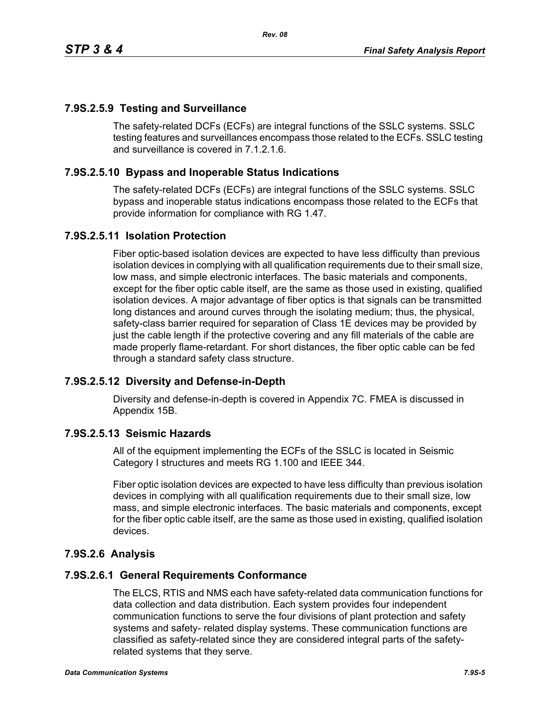# **7.9S.2.5.9 Testing and Surveillance**

The safety-related DCFs (ECFs) are integral functions of the SSLC systems. SSLC testing features and surveillances encompass those related to the ECFs. SSLC testing and surveillance is covered in 7.1.2.1.6.

## **7.9S.2.5.10 Bypass and Inoperable Status Indications**

The safety-related DCFs (ECFs) are integral functions of the SSLC systems. SSLC bypass and inoperable status indications encompass those related to the ECFs that provide information for compliance with RG 1.47.

### **7.9S.2.5.11 Isolation Protection**

Fiber optic-based isolation devices are expected to have less difficulty than previous isolation devices in complying with all qualification requirements due to their small size, low mass, and simple electronic interfaces. The basic materials and components, except for the fiber optic cable itself, are the same as those used in existing, qualified isolation devices. A major advantage of fiber optics is that signals can be transmitted long distances and around curves through the isolating medium; thus, the physical, safety-class barrier required for separation of Class 1E devices may be provided by just the cable length if the protective covering and any fill materials of the cable are made properly flame-retardant. For short distances, the fiber optic cable can be fed through a standard safety class structure.

### **7.9S.2.5.12 Diversity and Defense-in-Depth**

Diversity and defense-in-depth is covered in Appendix 7C. FMEA is discussed in Appendix 15B.

### **7.9S.2.5.13 Seismic Hazards**

All of the equipment implementing the ECFs of the SSLC is located in Seismic Category I structures and meets RG 1.100 and IEEE 344.

Fiber optic isolation devices are expected to have less difficulty than previous isolation devices in complying with all qualification requirements due to their small size, low mass, and simple electronic interfaces. The basic materials and components, except for the fiber optic cable itself, are the same as those used in existing, qualified isolation devices.

# **7.9S.2.6 Analysis**

### **7.9S.2.6.1 General Requirements Conformance**

The ELCS, RTIS and NMS each have safety-related data communication functions for data collection and data distribution. Each system provides four independent communication functions to serve the four divisions of plant protection and safety systems and safety- related display systems. These communication functions are classified as safety-related since they are considered integral parts of the safetyrelated systems that they serve.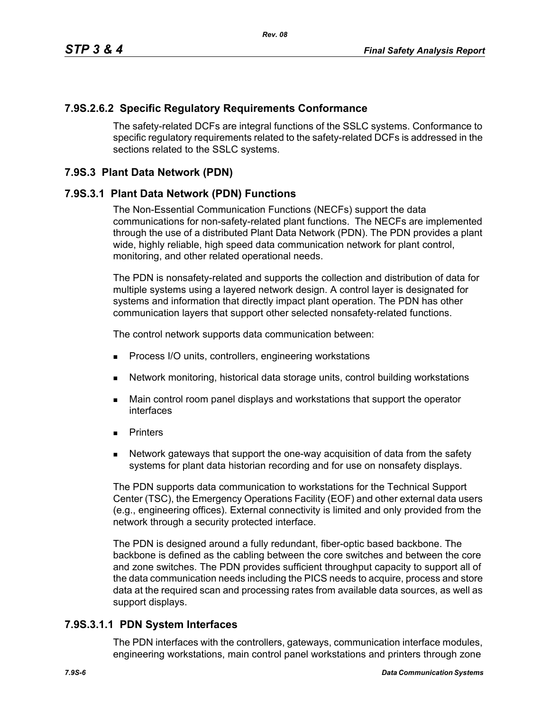### **7.9S.2.6.2 Specific Regulatory Requirements Conformance**

The safety-related DCFs are integral functions of the SSLC systems. Conformance to specific regulatory requirements related to the safety-related DCFs is addressed in the sections related to the SSLC systems.

### **7.9S.3 Plant Data Network (PDN)**

### **7.9S.3.1 Plant Data Network (PDN) Functions**

The Non-Essential Communication Functions (NECFs) support the data communications for non-safety-related plant functions. The NECFs are implemented through the use of a distributed Plant Data Network (PDN). The PDN provides a plant wide, highly reliable, high speed data communication network for plant control, monitoring, and other related operational needs.

The PDN is nonsafety-related and supports the collection and distribution of data for multiple systems using a layered network design. A control layer is designated for systems and information that directly impact plant operation. The PDN has other communication layers that support other selected nonsafety-related functions.

The control network supports data communication between:

- **Process I/O units, controllers, engineering workstations**
- Network monitoring, historical data storage units, control building workstations
- **Main control room panel displays and workstations that support the operator** interfaces
- **Printers**
- Network gateways that support the one-way acquisition of data from the safety systems for plant data historian recording and for use on nonsafety displays.

The PDN supports data communication to workstations for the Technical Support Center (TSC), the Emergency Operations Facility (EOF) and other external data users (e.g., engineering offices). External connectivity is limited and only provided from the network through a security protected interface.

The PDN is designed around a fully redundant, fiber-optic based backbone. The backbone is defined as the cabling between the core switches and between the core and zone switches. The PDN provides sufficient throughput capacity to support all of the data communication needs including the PICS needs to acquire, process and store data at the required scan and processing rates from available data sources, as well as support displays.

### **7.9S.3.1.1 PDN System Interfaces**

The PDN interfaces with the controllers, gateways, communication interface modules, engineering workstations, main control panel workstations and printers through zone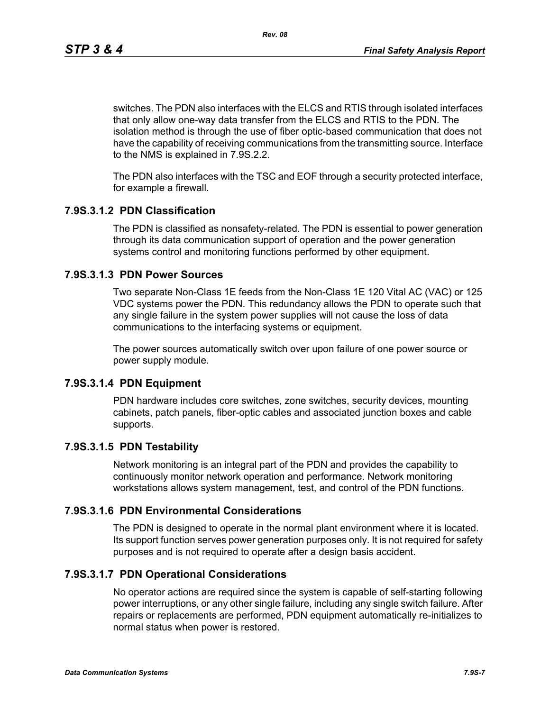*Rev. 08*

switches. The PDN also interfaces with the ELCS and RTIS through isolated interfaces that only allow one-way data transfer from the ELCS and RTIS to the PDN. The isolation method is through the use of fiber optic-based communication that does not have the capability of receiving communications from the transmitting source. Interface to the NMS is explained in 7.9S.2.2.

The PDN also interfaces with the TSC and EOF through a security protected interface, for example a firewall.

# **7.9S.3.1.2 PDN Classification**

The PDN is classified as nonsafety-related. The PDN is essential to power generation through its data communication support of operation and the power generation systems control and monitoring functions performed by other equipment.

# **7.9S.3.1.3 PDN Power Sources**

Two separate Non-Class 1E feeds from the Non-Class 1E 120 Vital AC (VAC) or 125 VDC systems power the PDN. This redundancy allows the PDN to operate such that any single failure in the system power supplies will not cause the loss of data communications to the interfacing systems or equipment.

The power sources automatically switch over upon failure of one power source or power supply module.

### **7.9S.3.1.4 PDN Equipment**

PDN hardware includes core switches, zone switches, security devices, mounting cabinets, patch panels, fiber-optic cables and associated junction boxes and cable supports.

# **7.9S.3.1.5 PDN Testability**

Network monitoring is an integral part of the PDN and provides the capability to continuously monitor network operation and performance. Network monitoring workstations allows system management, test, and control of the PDN functions.

### **7.9S.3.1.6 PDN Environmental Considerations**

The PDN is designed to operate in the normal plant environment where it is located. Its support function serves power generation purposes only. It is not required for safety purposes and is not required to operate after a design basis accident.

# **7.9S.3.1.7 PDN Operational Considerations**

No operator actions are required since the system is capable of self-starting following power interruptions, or any other single failure, including any single switch failure. After repairs or replacements are performed, PDN equipment automatically re-initializes to normal status when power is restored.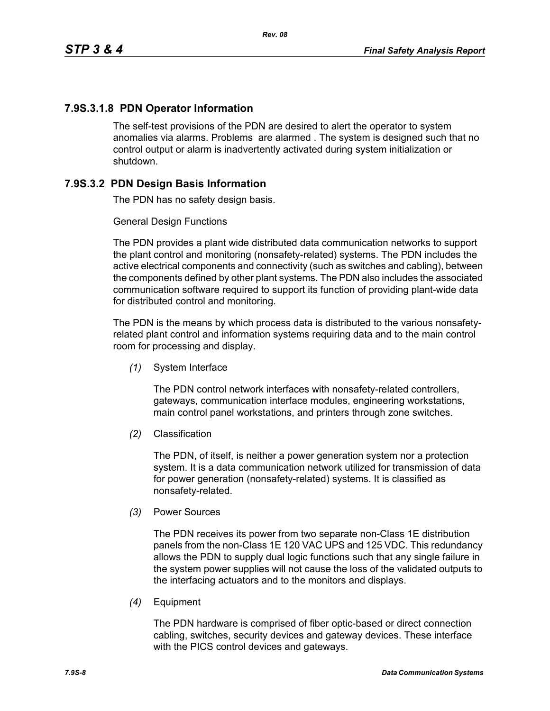# **7.9S.3.1.8 PDN Operator Information**

The self-test provisions of the PDN are desired to alert the operator to system anomalies via alarms. Problems are alarmed . The system is designed such that no control output or alarm is inadvertently activated during system initialization or shutdown.

# **7.9S.3.2 PDN Design Basis Information**

The PDN has no safety design basis.

### General Design Functions

The PDN provides a plant wide distributed data communication networks to support the plant control and monitoring (nonsafety-related) systems. The PDN includes the active electrical components and connectivity (such as switches and cabling), between the components defined by other plant systems. The PDN also includes the associated communication software required to support its function of providing plant-wide data for distributed control and monitoring.

The PDN is the means by which process data is distributed to the various nonsafetyrelated plant control and information systems requiring data and to the main control room for processing and display.

*(1)* System Interface

The PDN control network interfaces with nonsafety-related controllers, gateways, communication interface modules, engineering workstations, main control panel workstations, and printers through zone switches.

*(2)* Classification

The PDN, of itself, is neither a power generation system nor a protection system. It is a data communication network utilized for transmission of data for power generation (nonsafety-related) systems. It is classified as nonsafety-related.

*(3)* Power Sources

The PDN receives its power from two separate non-Class 1E distribution panels from the non-Class 1E 120 VAC UPS and 125 VDC. This redundancy allows the PDN to supply dual logic functions such that any single failure in the system power supplies will not cause the loss of the validated outputs to the interfacing actuators and to the monitors and displays.

*(4)* Equipment

The PDN hardware is comprised of fiber optic-based or direct connection cabling, switches, security devices and gateway devices. These interface with the PICS control devices and gateways.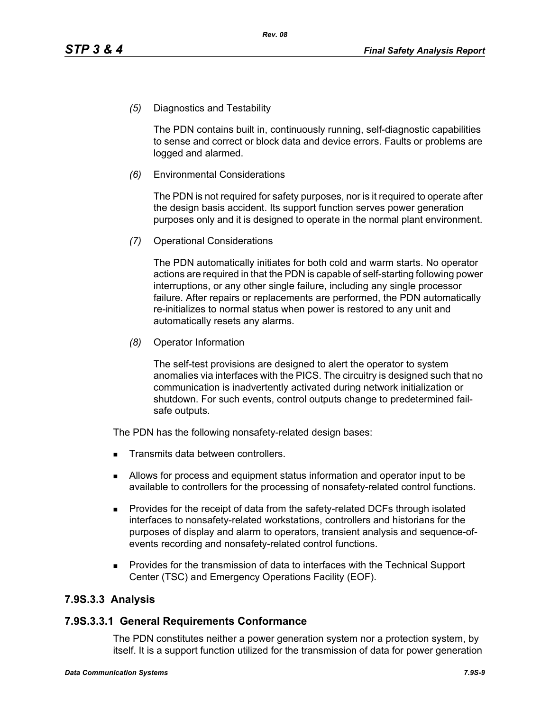*(5)* Diagnostics and Testability

The PDN contains built in, continuously running, self-diagnostic capabilities to sense and correct or block data and device errors. Faults or problems are logged and alarmed.

*(6)* Environmental Considerations

The PDN is not required for safety purposes, nor is it required to operate after the design basis accident. Its support function serves power generation purposes only and it is designed to operate in the normal plant environment.

*(7)* Operational Considerations

The PDN automatically initiates for both cold and warm starts. No operator actions are required in that the PDN is capable of self-starting following power interruptions, or any other single failure, including any single processor failure. After repairs or replacements are performed, the PDN automatically re-initializes to normal status when power is restored to any unit and automatically resets any alarms.

*(8)* Operator Information

The self-test provisions are designed to alert the operator to system anomalies via interfaces with the PICS. The circuitry is designed such that no communication is inadvertently activated during network initialization or shutdown. For such events, control outputs change to predetermined failsafe outputs.

The PDN has the following nonsafety-related design bases:

- Transmits data between controllers.
- Allows for process and equipment status information and operator input to be available to controllers for the processing of nonsafety-related control functions.
- **Provides for the receipt of data from the safety-related DCFs through isolated** interfaces to nonsafety-related workstations, controllers and historians for the purposes of display and alarm to operators, transient analysis and sequence-ofevents recording and nonsafety-related control functions.
- Provides for the transmission of data to interfaces with the Technical Support Center (TSC) and Emergency Operations Facility (EOF).

### **7.9S.3.3 Analysis**

#### **7.9S.3.3.1 General Requirements Conformance**

The PDN constitutes neither a power generation system nor a protection system, by itself. It is a support function utilized for the transmission of data for power generation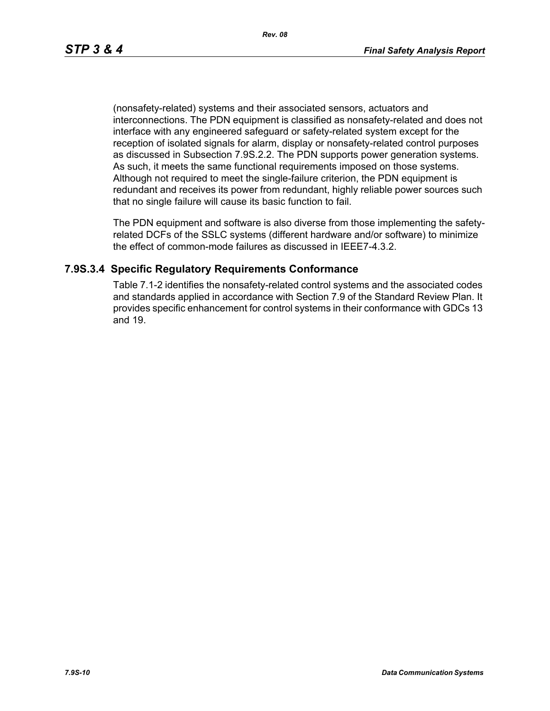(nonsafety-related) systems and their associated sensors, actuators and interconnections. The PDN equipment is classified as nonsafety-related and does not interface with any engineered safeguard or safety-related system except for the reception of isolated signals for alarm, display or nonsafety-related control purposes as discussed in Subsection 7.9S.2.2. The PDN supports power generation systems. As such, it meets the same functional requirements imposed on those systems. Although not required to meet the single-failure criterion, the PDN equipment is redundant and receives its power from redundant, highly reliable power sources such that no single failure will cause its basic function to fail.

The PDN equipment and software is also diverse from those implementing the safetyrelated DCFs of the SSLC systems (different hardware and/or software) to minimize the effect of common-mode failures as discussed in IEEE7-4.3.2.

### **7.9S.3.4 Specific Regulatory Requirements Conformance**

Table 7.1-2 identifies the nonsafety-related control systems and the associated codes and standards applied in accordance with Section 7.9 of the Standard Review Plan. It provides specific enhancement for control systems in their conformance with GDCs 13 and 19.